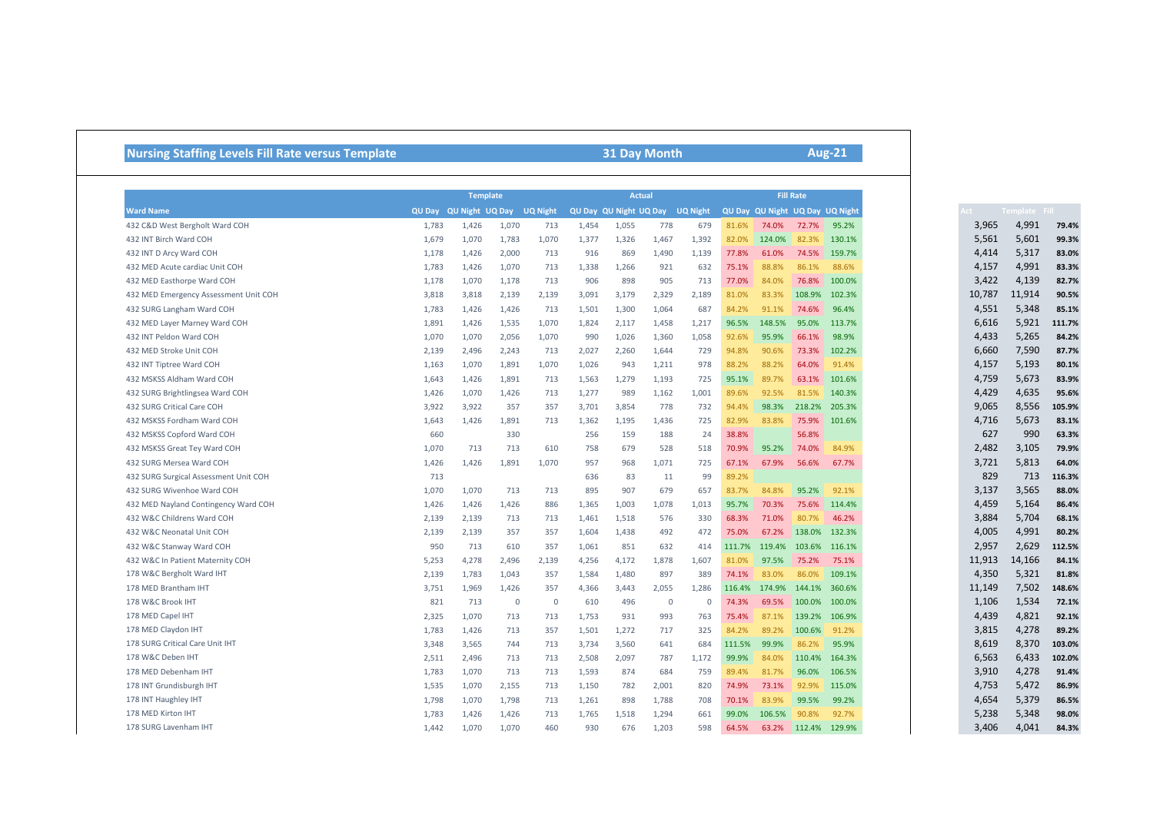## **Nursing Staffing Levels Fill Rate versus Template 31 Day Month**

**Aug-21**

|                                       |       |                        |             | <b>Actual</b>   | <b>Fill Rate</b> |                        |              |                 |        |                                 |        |        |
|---------------------------------------|-------|------------------------|-------------|-----------------|------------------|------------------------|--------------|-----------------|--------|---------------------------------|--------|--------|
| <b>Ward Name</b>                      |       | QU Day QU Night UQ Day |             | <b>UQ Night</b> |                  | QU Day QU Night UQ Day |              | <b>UQ Night</b> |        | QU Day QU Night UQ Day UQ Night |        |        |
| 432 C&D West Bergholt Ward COH        | 1,783 | 1,426                  | 1,070       | 713             | 1.454            | 1,055                  | 778          | 679             | 81.6%  | 74.0%                           | 72.7%  | 95.2%  |
| 432 INT Birch Ward COH                | 1,679 | 1,070                  | 1,783       | 1,070           | 1,377            | 1,326                  | 1,467        | 1,392           | 82.0%  | 124.0%                          | 82.3%  | 130.1% |
| 432 INT D Arcy Ward COH               | 1,178 | 1,426                  | 2.000       | 713             | 916              | 869                    | 1,490        | 1,139           | 77.8%  | 61.0%                           | 74.5%  | 159.7% |
| 432 MED Acute cardiac Unit COH        | 1,783 | 1,426                  | 1,070       | 713             | 1,338            | 1,266                  | 921          | 632             | 75.1%  | 88.8%                           | 86.1%  | 88.6%  |
| 432 MED Easthorpe Ward COH            | 1,178 | 1,070                  | 1,178       | 713             | 906              | 898                    | 905          | 713             | 77.0%  | 84.0%                           | 76.8%  | 100.0% |
| 432 MED Emergency Assessment Unit COH | 3,818 | 3,818                  | 2,139       | 2,139           | 3,091            | 3,179                  | 2.329        | 2,189           | 81.0%  | 83.3%                           | 108.9% | 102.3% |
| 432 SURG Langham Ward COH             | 1,783 | 1,426                  | 1.426       | 713             | 1,501            | 1,300                  | 1.064        | 687             | 84.2%  | 91.1%                           | 74.6%  | 96.4%  |
| 432 MED Layer Marney Ward COH         | 1,891 | 1,426                  | 1,535       | 1,070           | 1,824            | 2,117                  | 1,458        | 1,217           | 96.5%  | 148.5%                          | 95.0%  | 113.7% |
| 432 INT Peldon Ward COH               | 1,070 | 1,070                  | 2,056       | 1,070           | 990              | 1,026                  | 1,360        | 1,058           | 92.6%  | 95.9%                           | 66.1%  | 98.9%  |
| 432 MED Stroke Unit COH               | 2,139 | 2,496                  | 2,243       | 713             | 2,027            | 2,260                  | 1,644        | 729             | 94.8%  | 90.6%                           | 73.3%  | 102.2% |
| 432 INT Tiptree Ward COH              | 1,163 | 1,070                  | 1,891       | 1,070           | 1,026            | 943                    | 1,211        | 978             | 88.2%  | 88.2%                           | 64.0%  | 91.4%  |
| 432 MSKSS Aldham Ward COH             | 1,643 | 1,426                  | 1,891       | 713             | 1,563            | 1,279                  | 1,193        | 725             | 95.1%  | 89.7%                           | 63.1%  | 101.6% |
| 432 SURG Brightlingsea Ward COH       | 1,426 | 1,070                  | 1,426       | 713             | 1,277            | 989                    | 1,162        | 1,001           | 89.6%  | 92.5%                           | 81.5%  | 140.3% |
| 432 SURG Critical Care COH            | 3,922 | 3,922                  | 357         | 357             | 3,701            | 3,854                  | 778          | 732             | 94.4%  | 98.3%                           | 218.2% | 205.3% |
| 432 MSKSS Fordham Ward COH            | 1,643 | 1,426                  | 1,891       | 713             | 1,362            | 1,195                  | 1,436        | 725             | 82.9%  | 83.8%                           | 75.9%  | 101.6% |
| 432 MSKSS Copford Ward COH            | 660   |                        | 330         |                 | 256              | 159                    | 188          | 24              | 38.8%  |                                 | 56.8%  |        |
| 432 MSKSS Great Tey Ward COH          | 1,070 | 713                    | 713         | 610             | 758              | 679                    | 528          | 518             | 70.9%  | 95.2%                           | 74.0%  | 84.9%  |
| 432 SURG Mersea Ward COH              | 1,426 | 1,426                  | 1,891       | 1,070           | 957              | 968                    | 1,071        | 725             | 67.1%  | 67.9%                           | 56.6%  | 67.7%  |
| 432 SURG Surgical Assessment Unit COH | 713   |                        |             |                 | 636              | 83                     | 11           | 99              | 89.2%  |                                 |        |        |
| 432 SURG Wivenhoe Ward COH            | 1,070 | 1,070                  | 713         | 713             | 895              | 907                    | 679          | 657             | 83.7%  | 84.8%                           | 95.2%  | 92.1%  |
| 432 MED Nayland Contingency Ward COH  | 1,426 | 1,426                  | 1,426       | 886             | 1,365            | 1,003                  | 1,078        | 1,013           | 95.7%  | 70.3%                           | 75.6%  | 114.4% |
| 432 W&C Childrens Ward COH            | 2,139 | 2,139                  | 713         | 713             | 1,461            | 1,518                  | 576          | 330             | 68.3%  | 71.0%                           | 80.7%  | 46.2%  |
| 432 W&C Neonatal Unit COH             | 2,139 | 2,139                  | 357         | 357             | 1,604            | 1,438                  | 492          | 472             | 75.0%  | 67.2%                           | 138.0% | 132.3% |
| 432 W&C Stanway Ward COH              | 950   | 713                    | 610         | 357             | 1,061            | 851                    | 632          | 414             | 111.7% | 119.4%                          | 103.6% | 116.1% |
| 432 W&C In Patient Maternity COH      | 5,253 | 4,278                  | 2,496       | 2,139           | 4,256            | 4,172                  | 1,878        | 1,607           | 81.0%  | 97.5%                           | 75.2%  | 75.1%  |
| 178 W&C Bergholt Ward IHT             | 2,139 | 1,783                  | 1,043       | 357             | 1,584            | 1,480                  | 897          | 389             | 74.1%  | 83.0%                           | 86.0%  | 109.1% |
| 178 MED Brantham IHT                  | 3,751 | 1,969                  | 1,426       | 357             | 4,366            | 3,443                  | 2,055        | 1,286           | 116.4% | 174.9%                          | 144.1% | 360.6% |
| 178 W&C Brook IHT                     | 821   | 713                    | $\mathbf 0$ | $\overline{0}$  | 610              | 496                    | $\mathbf{0}$ | $\mathbf{0}$    | 74.3%  | 69.5%                           | 100.0% | 100.0% |
| 178 MED Capel IHT                     | 2,325 | 1,070                  | 713         | 713             | 1,753            | 931                    | 993          | 763             | 75.4%  | 87.1%                           | 139.2% | 106.9% |
| 178 MED Claydon IHT                   | 1,783 | 1,426                  | 713         | 357             | 1,501            | 1,272                  | 717          | 325             | 84.2%  | 89.2%                           | 100.6% | 91.2%  |
| 178 SURG Critical Care Unit IHT       | 3,348 | 3,565                  | 744         | 713             | 3,734            | 3,560                  | 641          | 684             | 111.5% | 99.9%                           | 86.2%  | 95.9%  |
| 178 W&C Deben IHT                     | 2,511 | 2,496                  | 713         | 713             | 2,508            | 2,097                  | 787          | 1,172           | 99.9%  | 84.0%                           | 110.4% | 164.3% |
| 178 MED Debenham IHT                  | 1,783 | 1,070                  | 713         | 713             | 1,593            | 874                    | 684          | 759             | 89.4%  | 81.7%                           | 96.0%  | 106.5% |
| 178 INT Grundisburgh IHT              | 1,535 | 1,070                  | 2.155       | 713             | 1,150            | 782                    | 2,001        | 820             | 74.9%  | 73.1%                           | 92.9%  | 115.0% |
| 178 INT Haughley IHT                  | 1,798 | 1,070                  | 1,798       | 713             | 1,261            | 898                    | 1,788        | 708             | 70.1%  | 83.9%                           | 99.5%  | 99.2%  |
|                                       |       | 1,426                  | 1.426       | 713             | 1.765            | 1,518                  | 1.294        | 661             | 99.0%  | 106.5%                          | 90.8%  | 92.7%  |
| 178 MED Kirton IHT                    | 1,783 |                        |             |                 |                  |                        |              |                 |        |                                 |        |        |